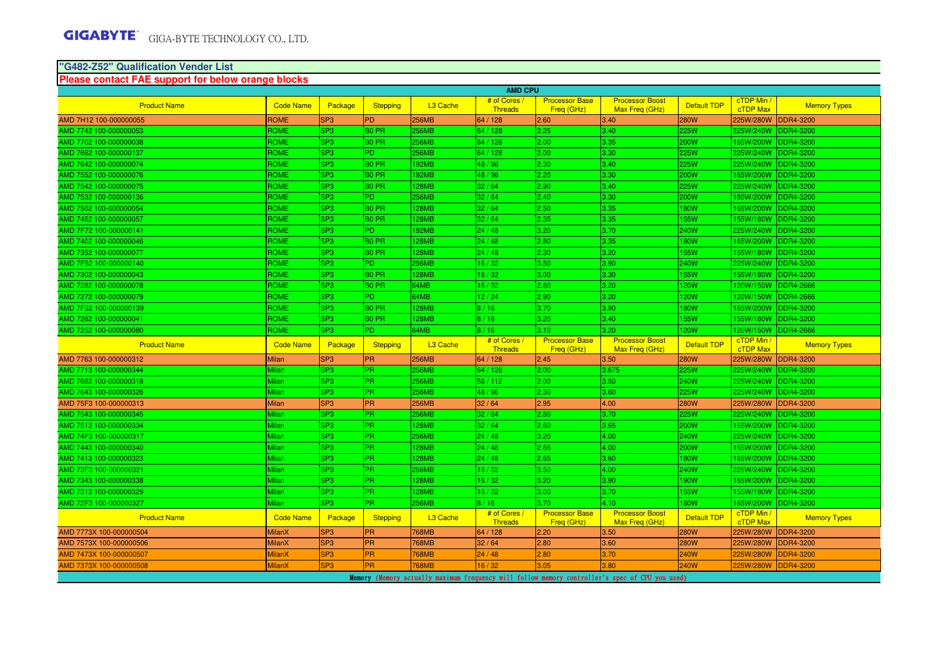#### **"G482-Z52" Qualification Vender ListPlease contact FAE support for below orange blocks**

|                         |                  |                 |                   |                      | <b>AMD CPU</b>                 |                                     |                                          |                    |                               |                     |
|-------------------------|------------------|-----------------|-------------------|----------------------|--------------------------------|-------------------------------------|------------------------------------------|--------------------|-------------------------------|---------------------|
| <b>Product Name</b>     | <b>Code Name</b> | Package         | <b>Stepping</b>   | L <sub>3</sub> Cache | # of Cores<br><b>Threads</b>   | <b>Processor Base</b><br>Freq (GHz) | <b>Processor Boost</b><br>Max Freq (GHz) | Default TDP        | cTDP Min /<br>cTDP Max        | <b>Memory Types</b> |
| AMD 7H12 100-000000055  | <b>ROME</b>      | SP <sub>3</sub> | <b>PD</b>         | 256MB                | 64 / 128                       | 2.60                                | 3.40                                     | <b>280W</b>        | 225W/280W                     | <b>DDR4-3200</b>    |
| AMD 7742 100-000000053  | ROME             | SP <sub>3</sub> | <b>BO PR</b>      | 256MB                | 64 / 128                       | 2.25                                | 3.40                                     | 225W               | 225W/240W                     | DDR4-3200           |
| AMD 7702 100-000000038  | <b>ROME</b>      | SP <sub>3</sub> | <b>BO PR</b>      | 256MB                | 64 / 128                       | 2.00                                | 3.35                                     | 200W               | 165W/200W                     | <b>DDR4-3200</b>    |
| AMD 7662 100-000000137  | ROME             | SP <sub>3</sub> | P <sub>D</sub>    | 256MB                | 64 / 128                       | 2.00                                | 3.30                                     | 225W               | 225W/240W                     | <b>DDR4-3200</b>    |
| AMD 7642 100-000000074  | ROME             | SP <sub>3</sub> | <b>BO PR</b>      | 192MB                | 48 / 96                        | 2.30                                | 3.40                                     | 225W               | 225W/240W                     | <b>DDR4-3200</b>    |
| AMD 7552 100-000000076  | <b>ROME</b>      | SP <sub>3</sub> | B <sub>0</sub> PR | <b>192MB</b>         | 48 / 96                        | 2.20                                | 3.30                                     | 200W               | 165W/200W                     | <b>DDR4-3200</b>    |
| AMD 7542 100-000000075  | ROME             | SP <sub>3</sub> | B <sub>0</sub> PR | 128MB                | 32/64                          | 2.90                                | 3.40                                     | 225W               | 225W/240W                     | <b>DDR4-3200</b>    |
| AMD 7532 100-000000136  | ROME             | SP <sub>3</sub> | P <sub>D</sub>    | 256MB                | 32/64                          | 2.40                                | 3.30                                     | 200W               | 180W/200W                     | <b>DDR4-3200</b>    |
| AMD 7502 100-000000054  | ROME             | SP <sub>3</sub> | B <sub>0</sub> PR | 128MB                | 32/64                          | 2.50                                | 3.35                                     | <b>180W</b>        | 165W/200W                     | <b>DDR4-3200</b>    |
| AMD 7452 100-000000057  | ROME             | SP <sub>3</sub> | B <sub>0</sub> PR | 128MB                | 32/64                          | 2.35                                | 3.35                                     | <b>155W</b>        | 155W/180W                     | DDR4-3200           |
| AMD 7F72 100-000000141  | ROME             | SP <sub>3</sub> | P <sub>D</sub>    | <b>192MB</b>         | 24/48                          | 3.20                                | 3.70                                     | <b>240W</b>        | 225W/240W                     | <b>DDR4-3200</b>    |
| AMD 7402 100-000000046  | ROME             | SP <sub>3</sub> | <b>BO PR</b>      | 128MB                | 24/48                          | 2.80                                | 3.35                                     | <b>180W</b>        | 165W/200W                     | <b>DDR4-3200</b>    |
| AMD 7352 100-000000077  | ROME             | SP <sub>3</sub> | B <sub>0</sub> PR | 128MB                | 24/48                          | 2.30                                | 3.20                                     | <b>155W</b>        | 155W/180W                     | <b>DDR4-3200</b>    |
| AMD 7F52 100-000000140  | ROME             | SP <sub>3</sub> | PD.               | <b>256MB</b>         | 16/32                          | 3.50                                | 3.90                                     | <b>240W</b>        | 225W/240W                     | <b>DDR4-3200</b>    |
| AMD 7302 100-000000043  | <b>ROME</b>      | SP <sub>3</sub> | B <sub>0</sub> PR | <b>128MB</b>         | 16/32                          | 3.00                                | 3.30                                     | <b>155W</b>        | 155W/180W                     | <b>DDR4-3200</b>    |
| AMD 7282 100-000000078  | ROME             | SP <sub>3</sub> | <b>BO PR</b>      | 64MB                 | 16/32                          | 2.80                                | 3.20                                     | 120W               | 120W/150W                     | <b>DDR4-2666</b>    |
| AMD 7272 100-000000079  | ROME             | SP <sub>3</sub> | P <sub>D</sub>    | 64MB                 | 12/24                          | 2.90                                | 3.20                                     | 120W               | 120W/150W                     | <b>DDR4-2666</b>    |
| AMD 7F32 100-000000139  | <b>ROME</b>      | SP <sub>3</sub> | B <sub>0</sub> PR | <b>128MB</b>         | 8/16                           | 3.70                                | 3.90                                     | <b>180W</b>        | 165W/200W                     | <b>DDR4-3200</b>    |
| AMD 7262 100-000000041  | ROME             | SP <sub>3</sub> | <b>BO PR</b>      | 128MB                | 8/16                           | 3.20                                | 3.40                                     | <b>155W</b>        | 155W/180W                     | DDR4-3200           |
| AMD 7252 100-000000080  | ROME             | SP <sub>3</sub> | P <sub>D</sub>    | 64MB                 | 8/16                           | 3.10                                | 3.20                                     | 120W               | 120W/150W                     | <b>DDR4-2666</b>    |
| <b>Product Name</b>     | <b>Code Name</b> | Package         | <b>Stepping</b>   | L <sub>3</sub> Cache | # of Cores /<br>Threads        | <b>Processor Base</b><br>Freg (GHz) | <b>Processor Boost</b><br>Max Freg (GHz) | <b>Default TDP</b> | cTDP Min /<br><b>cTDP Max</b> | <b>Memory Types</b> |
| AMD 7763 100-000000312  | <b>Milan</b>     | SP <sub>3</sub> | <b>PR</b>         | 256MB                | 64 / 128                       | 2.45                                | 3.50                                     | <b>280W</b>        | 225W/280W                     | <b>DDR4-3200</b>    |
| AMD 7713 100-000000344  | Milan            | SP <sub>3</sub> |                   | 256MB                | 64 / 128                       | 2.00                                | 3.675                                    |                    |                               |                     |
|                         |                  |                 | PR.               |                      |                                |                                     |                                          | 225W               | 225W/240W                     | <b>DDR4-3200</b>    |
| AMD 7663 100-000000318  | <b>Milan</b>     | SP <sub>3</sub> | <b>PR</b>         | 256MB                | 56 / 112                       | 2.00                                | 3.50                                     | <b>240W</b>        | 225W/240W                     | <b>DDR4-3200</b>    |
| AMD 7643 100-000000326  | Milan            | SP <sub>3</sub> | <b>PR</b>         | 256MB                | 48 / 96                        | 2.30                                | 3.60                                     | 225W               | 225W/240W                     | DDR4-3200           |
| AMD 75F3 100-000000313  | <b>Milan</b>     | SP <sub>3</sub> | PR                | 256MB                | 32/64                          | 2.95                                | 4.00                                     | <b>280W</b>        | 225W/280W                     | <b>DDR4-3200</b>    |
| AMD 7543 100-000000345  | Milan            | SP <sub>3</sub> | <b>PR</b>         | 256MB                | 32/64                          | 2.80                                | 3.70                                     | 225W               | 225W/240W                     | <b>DDR4-3200</b>    |
| AMD 7513 100-000000334  | Milan            | SP <sub>3</sub> | PR.               | <b>28MB</b>          | 32/64                          | 2.60                                | 3.65                                     | 200W               | 165W/200W                     | <b>DDR4-3200</b>    |
| AMD 74F3 100-000000317  | Milan            | SP <sub>3</sub> | PR.               | 256MB                | 24/48                          | 3.20                                | 4.00                                     | 240W               | 225W/240W                     | <b>DDR4-3200</b>    |
| AMD 7443 100-000000340  | Milan            | SP <sub>3</sub> | IPR.              | 128MB                | 24/48                          | 2.85                                | 4.00                                     | 200W               | 165W/200W                     | <b>DDR4-3200</b>    |
| AMD 7413 100-000000323  | Milan            | SP <sub>3</sub> | PR.               | 128MB                | 24/48                          | 2.65                                | 3.60                                     | 180W               | 165W/200W                     | DDR4-3200           |
| AMD 73F3 100-000000321  | Milan            | SP <sub>3</sub> | PR.               | 256MB                | 16/32                          | 3.50                                | 4.00                                     | 240W               | 225W/240W                     | <b>DDR4-3200</b>    |
| AMD 7343 100-000000338  | <b>Milan</b>     | SP <sub>3</sub> | IPR.              | 128MB                | 16/32                          | 3.20                                | 3.90                                     | <b>190W</b>        | 165W/200W                     | <b>DDR4-3200</b>    |
| AMD 7313 100-000000329  | Milan            | SP <sub>3</sub> | <b>PR</b>         | 128MB                | 16/32                          | 3.00                                | 3.70                                     | 155W               | 155W/180W                     | <b>DDR4-3200</b>    |
| AMD 72F3 100-000000327  | Milan            | SP <sub>3</sub> | <b>PR</b>         | <b>256MB</b>         | 8/16                           | 3.70                                | $4.10-$                                  | 180W               | 65W/200W                      | <b>DDR4-3200</b>    |
| <b>Product Name</b>     | <b>Code Name</b> | Package         | Stepping          | L <sub>3</sub> Cache | # of Cores /<br><b>Threads</b> | <b>Processor Base</b><br>Freq (GHz) | <b>Processor Boost</b><br>Max Freg (GHz) | <b>Default TDP</b> | cTDP Min /<br>cTDP Max        | <b>Memory Types</b> |
| AMD 7773X 100-000000504 | <b>MilanX</b>    | SP <sub>3</sub> | <b>PR</b>         | 768MB                | 64 / 128                       | 2.20                                | 3.50                                     | <b>280W</b>        | 225W/280W                     | <b>DDR4-3200</b>    |
| AMD 7573X 100-000000506 | <b>MilanX</b>    | SP <sub>3</sub> | PR                | 768MB                | 32/64                          | 2.80                                | 3.60                                     | <b>280W</b>        | 225W/280W                     | <b>DDR4-3200</b>    |
| AMD 7473X 100-000000507 | <b>MilanX</b>    | SP <sub>3</sub> | <b>PR</b>         | 68MB                 | 24/48                          | 2.80                                | 3.70                                     | 240W               | 225W/280W                     | DDR4-3200           |
| AMD 7373X 100-000000508 | <b>MilanX</b>    | SP <sub>3</sub> | <b>PR</b>         | <b>768MB</b>         | 16/32                          | 3.05                                | 3.80                                     | <b>240W</b>        | 225W/280W                     | <b>DDR4-3200</b>    |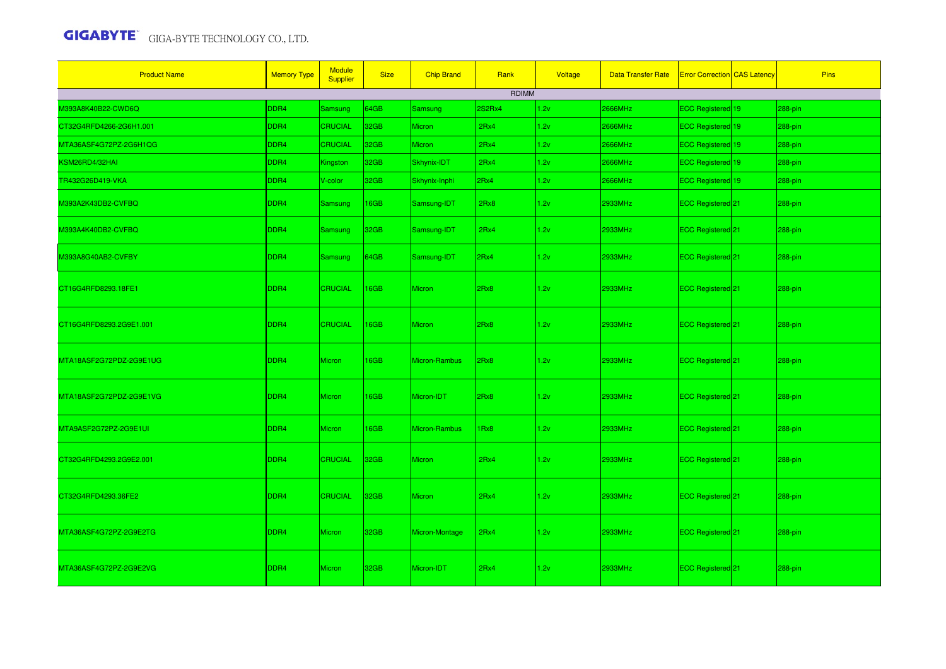| <b>Product Name</b>     | <b>Memory Type</b> | <b>Module</b><br>Supplier | <b>Size</b>      | <b>Chip Brand</b> | Rank   | Voltage | <b>Data Transfer Rate</b> | <b>Error Correction CAS Latency</b> | <b>Pins</b> |
|-------------------------|--------------------|---------------------------|------------------|-------------------|--------|---------|---------------------------|-------------------------------------|-------------|
|                         |                    |                           |                  |                   | RDIMM  |         |                           |                                     |             |
| M393A8K40B22-CWD6Q      | DDR4               | <b>Samsung</b>            | 64GB             | Samsung           | 2S2Rx4 | 1.2v    | 2666MHz                   | ECC Registered 19                   | 288-pin     |
| CT32G4RFD4266-2G6H1.001 | DDR4               | <b>CRUCIAL</b>            | 32GB             | <b>Micron</b>     | 2Rx4   | 1.2v    | 2666MHz                   | ECC Registered 19                   | 288-pin     |
| MTA36ASF4G72PZ-2G6H1QG  | DDR4               | <b>CRUCIAL</b>            | 32GB             | <b>Micron</b>     | 2Rx4   | 1.2v    | 2666MHz                   | ECC Registered 19                   | 288-pin     |
| KSM26RD4/32HAI          | DDR4               | Kingston                  | 32GB             | Skhynix-IDT       | 2Rx4   | 1.2v    | 2666MHz                   | ECC Registered 19                   | 288-pin     |
| TR432G26D419-VKA        | DDR4               | V-color                   | 32GB             | Skhynix-Inphi     | 2Rx4   | 1.2v    | 2666MHz                   | ECC Registered 19                   | 288-pin     |
| M393A2K43DB2-CVFBQ      | DDR4               | <b>Samsung</b>            | 16GB             | Samsung-IDT       | 2Rx8   | 1.2v    | 2933MHz                   | ECC Registered 21                   | 288-pin     |
| M393A4K40DB2-CVFBQ      | DDR4               | <b>Samsung</b>            | 32GB             | Samsung-IDT       | 2Rx4   | 1.2v    | 2933MHz                   | ECC Registered 21                   | 288-pin     |
| M393A8G40AB2-CVFBY      | DDR4               | <b>Samsung</b>            | 64GB             | Samsung-IDT       | 2Rx4   | 1.2v    | 2933MHz                   | ECC Registered 21                   | 288-pin     |
| CT16G4RFD8293.18FE1     | DDR4               | <b>CRUCIAL</b>            | <b>16GB</b>      | <b>Micron</b>     | 2Rx8   | 1.2v    | 2933MHz                   | ECC Registered <sup>21</sup>        | 288-pin     |
| CT16G4RFD8293.2G9E1.001 | DDR4               | <b>CRUCIAL</b>            | <b>16GB</b>      | <b>Micron</b>     | 2Rx8   | 1.2v    | 2933MHz                   | ECC Registered 21                   | 288-pin     |
| MTA18ASF2G72PDZ-2G9E1UG | DDR4               | <b>Micron</b>             | 16GB             | Micron-Rambus     | 2Rx8   | 1.2v    | 2933MHz                   | ECC Registered 21                   | 288-pin     |
| MTA18ASF2G72PDZ-2G9E1VG | DDR4               | Micron                    | <b>16GB</b>      | Micron-IDT        | 2Rx8   | 1.2v    | 2933MHz                   | ECC Registered 21                   | 288-pin     |
| MTA9ASF2G72PZ-2G9E1UI   | DDR4               | <b>Micron</b>             | <b>16GB</b>      | Micron-Rambus     | 1Rx8   | 1.2v    | 2933MHz                   | ECC Registered 21                   | 288-pin     |
| CT32G4RFD4293.2G9E2.001 | DDR4               | <b>CRUCIAL</b>            | 32 <sub>GB</sub> | <b>Micron</b>     | 2Rx4   | 1.2v    | 2933MHz                   | ECC Registered <sup>21</sup>        | 288-pin     |
| CT32G4RFD4293.36FE2     | DDR4               | <b>CRUCIAL</b>            | 32 <sub>GB</sub> | <b>Micron</b>     | 2Rx4   | 1.2v    | 2933MHz                   | ECC Registered 21                   | 288-pin     |
| MTA36ASF4G72PZ-2G9E2TG  | DDR4               | <b>Micron</b>             | 32GB             | Micron-Montage    | 2Rx4   | 1.2v    | 2933MHz                   | ECC Registered <sup>[21]</sup>      | 288-pin     |
| MTA36ASF4G72PZ-2G9E2VG  | DDR4               | Micron                    | 32GB             | Micron-IDT        | 2Rx4   | 1.2v    | 2933MHz                   | ECC Registered 21                   | 288-pin     |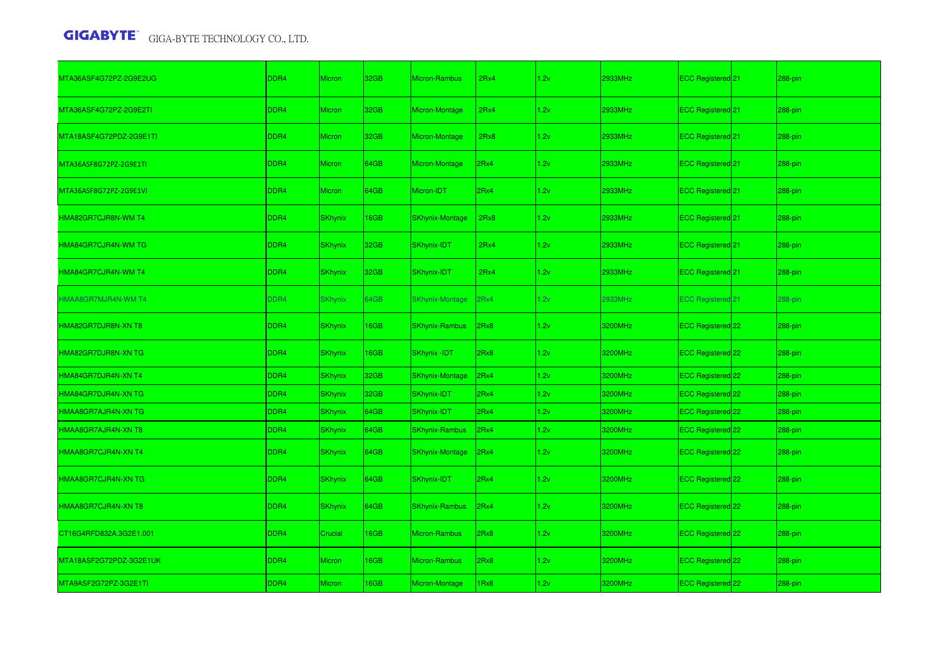| MTA36ASF4G72PZ-2G9E2UG  | DDR4             | <b>Micron</b>  | 32GB        | Micron-Rambus          | 2Rx4 | 1.2v | 2933MHz | ECC Registered 21        | 288-pin |
|-------------------------|------------------|----------------|-------------|------------------------|------|------|---------|--------------------------|---------|
| MTA36ASF4G72PZ-2G9E2TI  | DDR <sub>4</sub> | Micron         | 32GB        | Micron-Montage         | 2Rx4 | 1.2v | 2933MHz | ECC Registered 21        | 288-pin |
| MTA18ASF4G72PDZ-2G9E1TI | DDR <sub>4</sub> | Micron         | 32GB        | Micron-Montage         | 2Rx8 | 1.2v | 2933MHz | ECC Registered 21        | 288-pin |
| MTA36ASF8G72PZ-2G9E1TI  | DDR4             | <b>Micron</b>  | 64GB        | Micron-Montage         | 2Rx4 | 1.2v | 2933MHz | ECC Registered 21        | 288-pin |
| MTA36ASF8G72PZ-2G9E1VI  | DDR <sub>4</sub> | Micron         | 64GB        | Micron-IDT             | 2Rx4 | 1.2v | 2933MHz | ECC Registered 21        | 288-pin |
| HMA82GR7CJR8N-WM T4     | DDR <sub>4</sub> | <b>SKhynix</b> | 16GB        | <b>SKhynix-Montage</b> | 2Rx8 | 1.2v | 2933MHz | ECC Registered 21        | 288-pin |
| HMA84GR7CJR4N-WM TG     | DDR <sub>4</sub> | <b>SKhynix</b> | 32GB        | SKhynix-IDT            | 2Rx4 | 1.2v | 2933MHz | ECC Registered 21        | 288-pin |
| HMA84GR7CJR4N-WM T4     | DDR4             | <b>SKhynix</b> | 32GB        | SKhynix-IDT            | 2Rx4 | 1.2v | 2933MHz | ECC Registered 21        | 288-pin |
| HMAA8GR7MJR4N-WM T4     | DDR4             | <b>SKhynix</b> | 64GB        | <b>SKhynix-Montage</b> | 2Rx4 | 1.2v | 2933MHz | <b>ECC Registered 21</b> | 288-pin |
| HMA82GR7DJR8N-XN T8     | DDR <sub>4</sub> | <b>SKhynix</b> | 16GB        | <b>SKhynix-Rambus</b>  | 2Rx8 | 1.2v | 3200MHz | ECC Registered 22        | 288-pin |
| HMA82GR7DJR8N-XN TG     | DDR <sub>4</sub> | <b>SKhynix</b> | 16GB        | SKhynix -IDT           | 2Rx8 | 1.2v | 3200MHz | ECC Registered 22        | 288-pin |
| HMA84GR7DJR4N-XN T4     | DDR4             | <b>SKhynix</b> | 32GB        | <b>SKhynix-Montage</b> | 2Rx4 | 1.2v | 3200MHz | ECC Registered 22        | 288-pin |
| HMA84GR7DJR4N-XN TG     | DDR4             | <b>SKhynix</b> | 32GB        | SKhynix-IDT            | 2Rx4 | 1.2v | 3200MHz | ECC Registered 22        | 288-pin |
| HMAA8GR7AJR4N-XN TG     | DDR4             | <b>SKhynix</b> | 64GB        | SKhynix-IDT            | 2Rx4 | 1.2v | 3200MHz | ECC Registered 22        | 288-pin |
| HMAA8GR7AJR4N-XN T8     | DDR4             | <b>SKhynix</b> | 64GB        | <b>SKhynix-Rambus</b>  | 2Rx4 | 1.2v | 3200MHz | ECC Registered 22        | 288-pin |
| HMAA8GR7CJR4N-XN T4     | DDR <sub>4</sub> | <b>SKhynix</b> | 64GB        | <b>SKhynix-Montage</b> | 2Rx4 | 1.2v | 3200MHz | ECC Registered 22        | 288-pin |
| HMAA8GR7CJR4N-XN TG     | DDR4             | <b>SKhynix</b> | 64GB        | SKhynix-IDT            | 2Rx4 | 1.2v | 3200MHz | ECC Registered 22        | 288-pin |
| HMAA8GR7CJR4N-XN T8     | DDR4             | <b>SKhynix</b> | 64GB        | <b>SKhynix-Rambus</b>  | 2Rx4 | 1.2v | 3200MHz | ECC Registered 22        | 288-pin |
| CT16G4RFD832A.3G2E1.001 | DDR4             | Crucial        | 16GB        | Micron-Rambus          | Rx8  | 1.2v | 3200MHz | ECC Registered 22        | 288-pin |
| MTA18ASF2G72PDZ-3G2E1UK | DDR <sub>4</sub> | Micron         | 16GB        | Micron-Rambus          | Rx8  | 1.2v | 3200MHz | ECC Registered 22        | 288-pin |
| MTA9ASF2G72PZ-3G2E1TI   | DDR4             | <b>Micron</b>  | <b>I6GB</b> | Micron-Montage         | Rx8  | 1.2v | 3200MHz | ECC Registered 22        | 288-pin |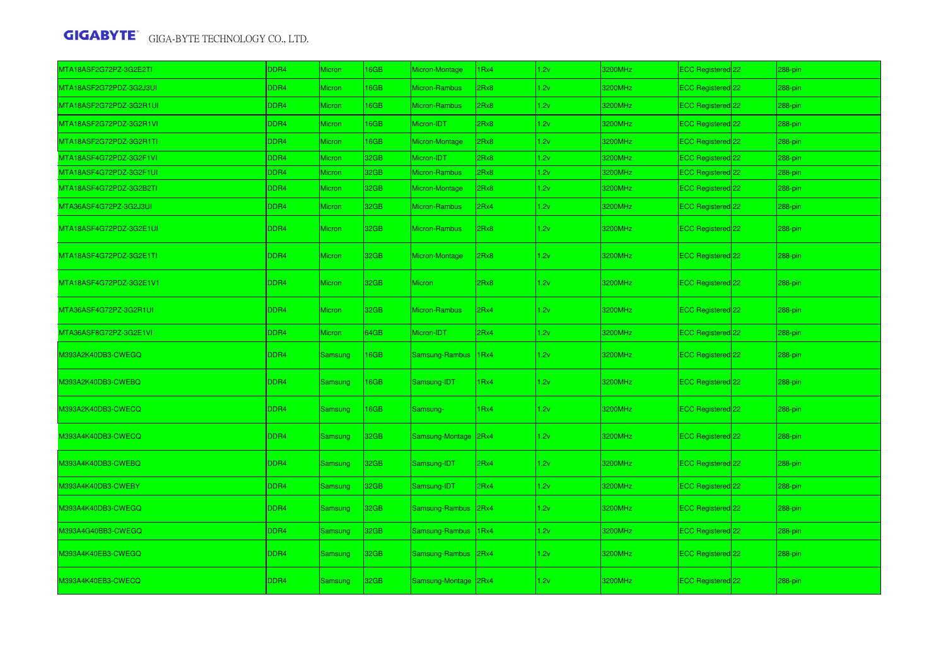| MTA18ASF2G72PZ-3G2E2TI  | DDR4             | Micron         | <b>I6GB</b> | Micron-Montage       | IRx4 | 1.2v | 3200MHz | ECC Registered 22 | 288-pin     |
|-------------------------|------------------|----------------|-------------|----------------------|------|------|---------|-------------------|-------------|
| MTA18ASF2G72PDZ-3G2J3UI | DDR4             | Micron         | <b>I6GB</b> | <b>Micron-Rambus</b> | 2Rx8 | 1.2v | 3200MHz | ECC Registered 22 | 288-pin     |
| MTA18ASF2G72PDZ-3G2R1UI | DDR4             | Micron         | <b>I6GB</b> | Micron-Rambus        | 2Rx8 | 1.2v | 3200MHz | ECC Registered 22 | 288-pin     |
| MTA18ASF2G72PDZ-3G2R1VI | DDR4             | Micron         | 16GB        | Micron-IDT           | 2Rx8 | 1.2v | 3200MHz | ECC Registered 22 | 288-pin     |
| MTA18ASF2G72PDZ-3G2R1TI | DDR4             | Micron         | <b>I6GB</b> | Micron-Montage       | 2Rx8 | 1.2v | 3200MHz | ECC Registered 22 | 288-pin     |
| MTA18ASF4G72PDZ-3G2F1VI | DDR4             | Micron         | 32GB        | Micron-IDT           | 2Rx8 | 1.2v | 3200MHz | ECC Registered 22 | 288-pin     |
| MTA18ASF4G72PDZ-3G2F1UI | DDR <sub>4</sub> | Micron         | 32GB        | Micron-Rambus        | 2Rx8 | 1.2v | 3200MHz | ECC Registered 22 | 288-pin     |
| MTA18ASF4G72PDZ-3G2B2TI | DDR <sub>4</sub> | <b>Micron</b>  | 32GB        | Micron-Montage       | 2Rx8 | 1.2v | 3200MHz | ECC Registered 22 | 288-pin     |
| MTA36ASF4G72PZ-3G2J3UI  | DDR4             | Micron         | 32GB        | Micron-Rambus        | 2Rx4 | 1.2v | 3200MHz | ECC Registered 22 | 288-pin     |
| MTA18ASF4G72PDZ-3G2E1UI | DDR4             | <b>Micron</b>  | 32GB        | Micron-Rambus        | 2Rx8 | 1.2v | 3200MHz | ECC Registered 22 | 288-pin     |
| MTA18ASF4G72PDZ-3G2E1TI | DDR4             | Micron         | 32GB        | Micron-Montage       | 2Rx8 | 1.2v | 3200MHz | ECC Registered 22 | 288-pin     |
| MTA18ASF4G72PDZ-3G2E1V1 | DDR4             | Micron         | 32GB        | <b>Micron</b>        | 2Rx8 | 1.2v | 3200MHz | ECC Registered 22 | 288-pin     |
| MTA36ASF4G72PZ-3G2R1UI  | DDR4             | <b>Micron</b>  | 32GB        | Micron-Rambus        | 2Rx4 | 1.2v | 3200MHz | ECC Registered 22 | 288-pin     |
| MTA36ASF8G72PZ-3G2E1VI  | DDR4             | Micron         | 64GB        | Micron-IDT           | 2Rx4 | 1.2v | 3200MHz | ECC Registered 22 | 288-pin     |
| M393A2K40DB3-CWEGQ      | DDR <sub>4</sub> | Samsung        | <b>I6GB</b> | Samsung-Rambus       | 1Rx4 | 1.2v | 3200MHz | ECC Registered 22 | 288-pin     |
| M393A2K40DB3-CWEBQ      | DDR4             | <b>Samsung</b> | 16GB        | Samsung-IDT          | 1Rx4 | 1.2v | 3200MHz | ECC Registered 22 | 288-pin     |
| M393A2K40DB3-CWECQ      | DDR4             | <b>Samsung</b> | <b>I6GB</b> | Samsung-             | IRx4 | 1.2v | 3200MHz | ECC Registered 22 | $288 - pin$ |
| M393A4K40DB3-CWECQ      | DDR4             | <b>Samsung</b> | 32GB        | Samsung-Montage      | 2Rx4 | 1.2v | 3200MHz | ECC Registered 22 | 288-pin     |
| M393A4K40DB3-CWEBQ      | DDR4             | <b>Samsung</b> | 32GB        | Samsung-IDT          | Rx4  | 1.2v | 3200MHz | ECC Registered 22 | 288-pin     |
| M393A4K40DB3-CWEBY      | DDR4             | Samsung        | 32GB        | Samsung-IDT          | Rx4  | 1.2v | 3200MHz | ECC Registered 22 | 288-pin     |
| M393A4K40DB3-CWEGQ      | DDR4             | <b>Samsung</b> | 32GB        | Samsung-Rambus       | 2Rx4 | 1.2v | 3200MHz | ECC Registered 22 | 288-pin     |
| M393A4G40BB3-CWEGQ      | DDR4             | <b>Samsung</b> | 32GB        | Samsung-Rambus       | 1Rx4 | 1.2v | 3200MHz | ECC Registered 22 | 288-pin     |
| M393A4K40EB3-CWEGQ      | DDR4             | <b>Samsung</b> | 32GB        | Samsung-Rambus 2Rx4  |      | 1.2v | 3200MHz | ECC Registered 22 | 288-pin     |
| M393A4K40EB3-CWECQ      | DDR4             | <b>Samsung</b> | 32GB        | Samsung-Montage 2Rx4 |      | 1.2v | 3200MHz | ECC Registered 22 | 288-pin     |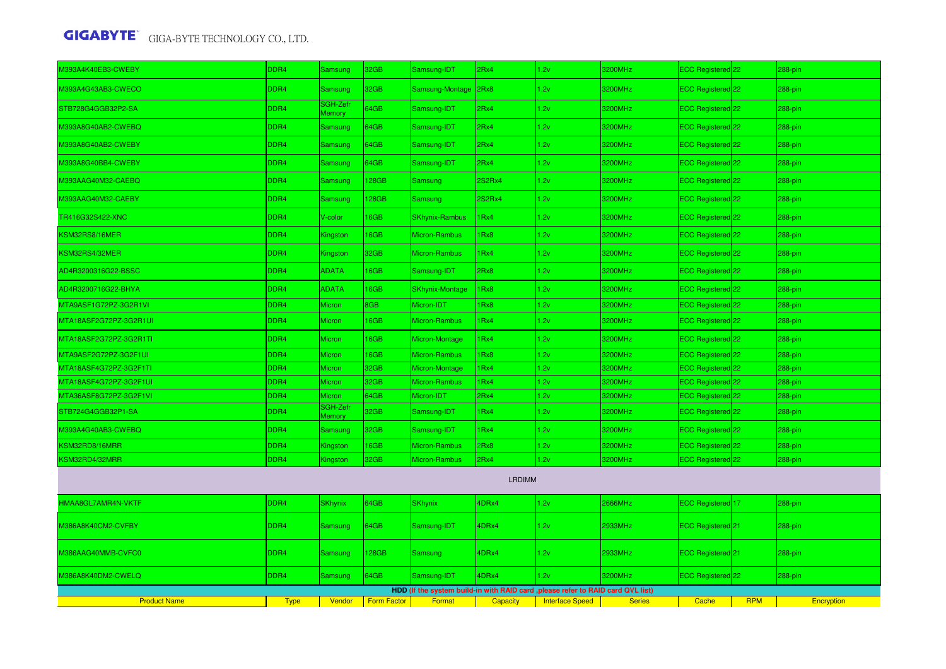| M393A4K40EB3-CWEBY     | DDR4        | Samsung                   | 32GB               | Samsung-IDT            | 2Rx4            | 1.2v                                                                             | 3200MHz       | ECC Registered 22            |            | 288-pin           |
|------------------------|-------------|---------------------------|--------------------|------------------------|-----------------|----------------------------------------------------------------------------------|---------------|------------------------------|------------|-------------------|
| M393A4G43AB3-CWECO     | DDR4        | Samsung                   | 32GB               | Samsung-Montage 2Rx8   |                 | 1.2v                                                                             | 3200MHz       | ECC Registered 22            |            | 288-pin           |
| STB728G4GGB32P2-SA     | DDR4        | SGH-Zefr<br><b>Memory</b> | 64GB               | Samsung-IDT            | 2Rx4            | 1.2v                                                                             | 3200MHz       | ECC Registered 22            |            | 288-pin           |
| M393A8G40AB2-CWEBQ     | DDR4        | Samsung                   | 64GB               | Samsung-IDT            | 2Rx4            | 1.2v                                                                             | 3200MHz       | ECC Registered 22            |            | 288-pin           |
| M393A8G40AB2-CWEBY     | DDR4        | Samsung                   | 64GB               | Samsung-IDT            | 2Rx4            | 1.2v                                                                             | 3200MHz       | ECC Registered 22            |            | 288-pin           |
| M393A8G40BB4-CWEBY     | DDR4        | <b>Samsung</b>            | 64GB               | Samsung-IDT            | 2Rx4            | 1.2v                                                                             | 3200MHz       | ECC Registered 22            |            | 288-pin           |
| M393AAG40M32-CAEBQ     | DDR4        | <b>Samsung</b>            | 128GB              | Samsung                | 2S2Rx4          | 1.2v                                                                             | 3200MHz       | ECC Registered 22            |            | 288-pin           |
| M393AAG40M32-CAEBY     | DDR4        | Samsung                   | 128GB              | Samsung                | 2S2Rx4          | 1.2v                                                                             | 3200MHz       | ECC Registered 22            |            | 288-pin           |
| TR416G32S422-XNC       | DDR4        | V-color                   | 16GB               | <b>SKhynix-Rambus</b>  | 1Rx4            | 1.2v                                                                             | 3200MHz       | ECC Registered 22            |            | 288-pin           |
| KSM32RS8/16MER         | DDR4        | Kingston                  | 16GB               | Micron-Rambus          | 1Rx8            | 1.2v                                                                             | 3200MHz       | ECC Registered 22            |            | 288-pin           |
| KSM32RS4/32MER         | DDR4        | Kingston                  | 32GB               | Micron-Rambus          | 1Rx4            | 1.2v                                                                             | 3200MHz       | ECC Registered 22            |            | 288-pin           |
| AD4R3200316G22-BSSC    | DDR4        | <b>ADATA</b>              | 16GB               | Samsung-IDT            | 2Rx8            | 1.2v                                                                             | 3200MHz       | ECC Registered 22            |            | 288-pin           |
| AD4R3200716G22-BHYA    | DDR4        | <b>ADATA</b>              | 16GB               | <b>SKhynix-Montage</b> | 1Rx8            | 1.2v                                                                             | 3200MHz       | ECC Registered 22            |            | 288-pin           |
| MTA9ASF1G72PZ-3G2R1VI  | DDR4        | Micron                    | 8GB                | Micron-IDT             | 1Rx8            | 1.2v                                                                             | 3200MHz       | ECC Registered 22            |            | 288-pin           |
| MTA18ASF2G72PZ-3G2R1UI | DDR4        | Micron                    | 16GB               | Micron-Rambus          | 1Rx4            | 1.2v                                                                             | 3200MHz       | ECC Registered 22            |            | 288-pin           |
| MTA18ASF2G72PZ-3G2R1TI | DDR4        | Micron                    | 16GB               | Micron-Montage         | 1Rx4            | 1.2v                                                                             | 3200MHz       | ECC Registered 22            |            | 288-pin           |
| MTA9ASF2G72PZ-3G2F1UI  | DDR4        | Micron                    | 16GB               | Micron-Rambus          | 1Rx8            | 1.2v                                                                             | 3200MHz       | ECC Registered 22            |            | 288-pin           |
| MTA18ASF4G72PZ-3G2F1TI | DDR4        | Micron                    | 32GB               | Micron-Montage         | 1Rx4            | 1.2v                                                                             | 3200MHz       | ECC Registered 22            |            | 288-pin           |
| MTA18ASF4G72PZ-3G2F1UI | DDR4        | Micron                    | 32GB               | Micron-Rambus          | 1Rx4            | 1.2v                                                                             | 3200MHz       | ECC Registered 22            |            | 288-pin           |
| MTA36ASF8G72PZ-3G2F1VI | DDR4        | Micron                    | 64GB               | Micron-IDT             | 2Rx4            | 1.2v                                                                             | 3200MHz       | ECC Registered 22            |            | 288-pin           |
| STB724G4GGB32P1-SA     | DDR4        | SGH-Zefr<br><b>Aemory</b> | 32GB               | Samsung-IDT            | 1Rx4            | 1.2v                                                                             | 3200MHz       | ECC Registered 22            |            | 288-pin           |
| M393A4G40AB3-CWEBQ     | DDR4        | Samsung                   | 32GB               | Samsung-IDT            | 1Rx4            | 1.2v                                                                             | 3200MHz       | ECC Registered 22            |            | 288-pin           |
| KSM32RD8/16MRR         | DDR4        | Kingston                  | 16GB               | Micron-Rambus          | 2Rx8            | 1.2v                                                                             | 3200MHz       | ECC Registered 22            |            | 288-pin           |
| KSM32RD4/32MRR         | DDR4        | Kingston                  | 32GB               | Micron-Rambus          | 2Rx4            | 1.2v                                                                             | 3200MHz       | ECC Registered 22            |            | 288-pin           |
|                        |             |                           |                    |                        | <b>LRDIMM</b>   |                                                                                  |               |                              |            |                   |
| HMAA8GL7AMR4N-VKTF     | DDR4        | <b>SKhynix</b>            | 64GB               | <b>SKhynix</b>         | 4DRx4           | 1.2v                                                                             | 2666MHz       | ECC Registered 17            |            | 288-pin           |
| M386A8K40CM2-CVFBY     | DDR4        | Samsung                   | 64GB               | Samsung-IDT            | 4DRx4           | 1.2v                                                                             | 2933MHz       | ECC Registered 21            |            | 288-pin           |
| M386AAG40MMB-CVFC0     | DDR4        | <b>Samsung</b>            | 128GB              | <b>Samsung</b>         | 4DRx4           | 1.2v                                                                             | 2933MHz       | ECC Registered <sup>21</sup> |            | 288-pin           |
| M386A8K40DM2-CWELQ     | DDR4        | Samsung                   | 64GB               | Samsung-IDT            | 4DRx4           | 1.2v                                                                             | 3200MHz       | ECC Registered 22            |            | 288-pin           |
|                        |             |                           |                    |                        |                 | HDD (If the system build-in with RAID card , please refer to RAID card QVL list) |               |                              |            |                   |
| <b>Product Name</b>    | <b>Type</b> | Vendor                    | <b>Form Factor</b> | Format                 | <b>Capacity</b> | <b>Interface Speed</b>                                                           | <b>Series</b> | Cache                        | <b>RPM</b> | <b>Encryption</b> |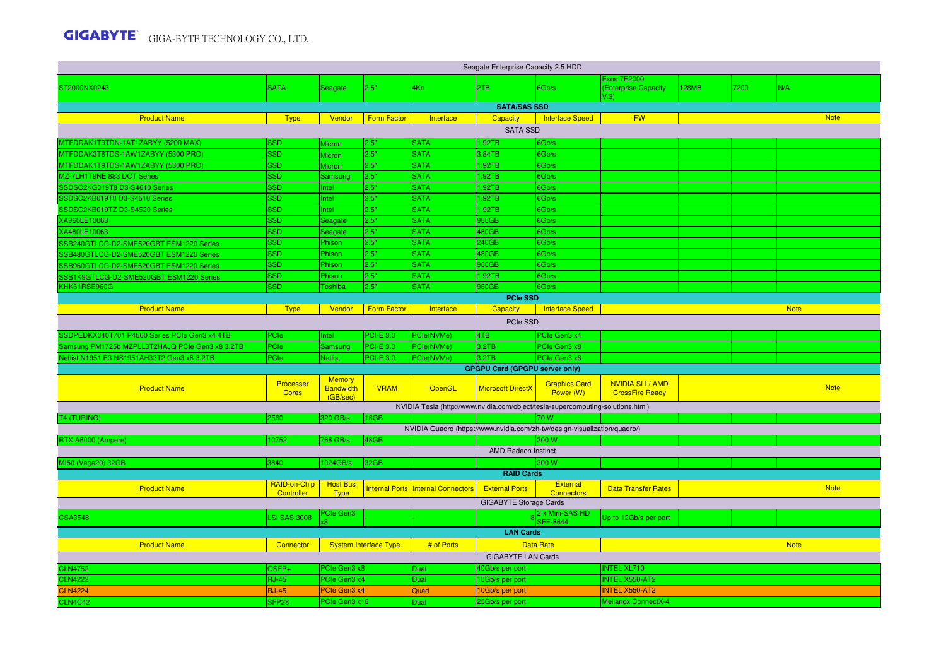| Seagate Enterprise Capacity 2.5 HDD             |                           |                                               |                              |                                                                                 |                                       |                                   |                                             |       |      |             |
|-------------------------------------------------|---------------------------|-----------------------------------------------|------------------------------|---------------------------------------------------------------------------------|---------------------------------------|-----------------------------------|---------------------------------------------|-------|------|-------------|
| ST2000NX0243                                    | <b>SATA</b>               | Seagate                                       | 2.5"                         | 4Kn                                                                             | 2TB                                   | 6Gb/s                             | Exos 7E2000<br>(Enterprise Capacity<br>V.3V | 128MB | 7200 | N/A         |
|                                                 |                           |                                               |                              |                                                                                 | <b>SATA/SAS SSD</b>                   |                                   |                                             |       |      |             |
| <b>Product Name</b>                             | <b>Type</b>               | Vendor                                        | <b>Form Factor</b>           | Interface                                                                       | Capacity                              | <b>Interface Speed</b>            | <b>FW</b>                                   |       |      | <b>Note</b> |
|                                                 |                           |                                               |                              |                                                                                 | <b>SATA SSD</b>                       |                                   |                                             |       |      |             |
| MTFDDAK1T9TDN-1AT1ZABYY (5200 MAX)              | SSD                       | Micron                                        | 2.5"                         | <b>SATA</b>                                                                     | 1.92TB                                | Gb/s                              |                                             |       |      |             |
| MTFDDAK3T8TDS-1AW1ZABYY (5300 PRO)              | <b>SSD</b>                | Micron                                        | 2.5"                         | <b>SATA</b>                                                                     | 3.84TB                                | Gb/s                              |                                             |       |      |             |
| MTFDDAK1T9TDS-1AW1ZABYY (5300 PRO)              | <b>SSD</b>                | Micron                                        | 2.5"                         | <b>SATA</b>                                                                     | 1.92TB                                | Gb/s                              |                                             |       |      |             |
| MZ-7LH1T9NE 883 DCT Series                      | <b>SSD</b>                | Samsung                                       | 2.5"                         | <b>SATA</b>                                                                     | 1.92TB                                | Gb/s                              |                                             |       |      |             |
| SSDSC2KG019T8 D3-S4610 Series                   | <b>SSD</b>                | Intel                                         | 2.5"                         | <b>SATA</b>                                                                     | 1.92TB                                | Gb/s                              |                                             |       |      |             |
| SSDSC2KB019T8 D3-S4510 Series                   | <b>SSD</b>                | Intel                                         | 2.5"                         | <b>SATA</b>                                                                     | 1.92TB                                | Gb/s                              |                                             |       |      |             |
| SSDSC2KB019TZ D3-S4520 Series                   | <b>SSD</b>                | Intel                                         | 2.5"                         | <b>SATA</b>                                                                     | 1.92TB                                | Gb/s                              |                                             |       |      |             |
| XA960LE10063                                    | <b>SSD</b>                | Seagate                                       | 2.5"                         | <b>SATA</b>                                                                     | 960GB                                 | Gb/s                              |                                             |       |      |             |
| XA480LE10063                                    | <b>SSD</b>                | Seagate                                       | 2.5"                         | <b>SATA</b>                                                                     | 480GB                                 | Gb/s                              |                                             |       |      |             |
| SSB240GTLCG-D2-SME520GBT ESM1220 Series         | <b>SSD</b>                | Phison                                        | 2.5"                         | <b>SATA</b>                                                                     | 240GB                                 | Gb/s                              |                                             |       |      |             |
| SSB480GTLCG-D2-SME520GBT ESM1220 Series         | <b>SSD</b>                | Phison                                        | 2.5"                         | <b>SATA</b>                                                                     | 480GB                                 | Gb/s                              |                                             |       |      |             |
| SSB960GTLCG-D2-SME520GBT ESM1220 Series         | <b>SSD</b>                | Phison                                        | 2.5"                         | <b>SATA</b>                                                                     | 960GB                                 | Gb/s                              |                                             |       |      |             |
| SSB1K9GTLCG-D2-SME520GBT ESM1220 Series         | <b>SSD</b>                | Phison                                        | 2.5"                         | <b>SATA</b>                                                                     | 1.92TB                                | Gb/s                              |                                             |       |      |             |
| KHK61RSE960G                                    | <b>SSD</b>                | Toshiba                                       | 2.5"                         | <b>SATA</b>                                                                     | 960GB                                 | Gb/s                              |                                             |       |      |             |
|                                                 |                           |                                               |                              |                                                                                 | <b>PCIe SSD</b>                       |                                   |                                             |       |      |             |
| <b>Product Name</b>                             | <b>Type</b>               | Vendor                                        | <b>Form Factor</b>           | Interface                                                                       | Capacity                              | <b>Interface Speed</b>            |                                             |       |      | <b>Note</b> |
|                                                 |                           |                                               |                              |                                                                                 | PCIe SSD                              |                                   |                                             |       |      |             |
| SSDPEDKX040T701 P4500 Series PCIe Gen3 x4 4TB   | PCIe                      | Intel                                         | <b>PCI-E 3.0</b>             | PCle(NVMe)                                                                      | 4TB                                   | PCIe Gen3 x4                      |                                             |       |      |             |
| Samsung PM1725b MZPLL3T2HAJQ PCIe Gen3 x8 3.2TB | PCIe                      | Samsung                                       | <b>PCI-E 3.0</b>             | PCle(NVMe)                                                                      | 3.2TB                                 | PCIe Gen3 x8                      |                                             |       |      |             |
| Netlist N1951 E3 NS1951AH33T2 Gen3 x8 3.2TB     | PCIe                      | <b>Netlist</b>                                | <b>PCI-E 3.0</b>             | PCle(NVMe)                                                                      | 3.2TB                                 | PCIe Gen3 x8                      |                                             |       |      |             |
|                                                 |                           |                                               |                              |                                                                                 | <b>GPGPU Card (GPGPU server only)</b> |                                   |                                             |       |      |             |
| <b>Product Name</b>                             | Processer<br><b>Cores</b> | <b>Memory</b><br><b>Bandwidth</b><br>(GB/sec) | <b>VRAM</b>                  | OpenGL                                                                          | <b>Microsoft DirectX</b>              | <b>Graphics Card</b><br>Power (W) | NVIDIA SLI / AMD<br><b>CrossFire Ready</b>  |       |      | <b>Note</b> |
|                                                 |                           |                                               |                              | NVIDIA Tesla (http://www.nvidia.com/object/tesla-supercomputing-solutions.html) |                                       |                                   |                                             |       |      |             |
| <b>T4 (TURING)</b>                              | 2560                      | 320 GB/s                                      | 16GB                         |                                                                                 |                                       | 70 W                              |                                             |       |      |             |
|                                                 |                           |                                               |                              | NVIDIA Quadro (https://www.nvidia.com/zh-tw/design-visualization/quadro/)       |                                       |                                   |                                             |       |      |             |
| RTX A6000 (Ampere)                              | 10752                     | 768 GB/s                                      | 48GB                         |                                                                                 |                                       | 300 W                             |                                             |       |      |             |
|                                                 |                           |                                               |                              |                                                                                 | <b>AMD Radeon Instinct</b>            |                                   |                                             |       |      |             |
| MI50 (Vega20) 32GB                              | 3840                      | 1024GB/s                                      | 32GB                         |                                                                                 |                                       | 300 W                             |                                             |       |      |             |
|                                                 |                           |                                               |                              |                                                                                 | <b>RAID Cards</b>                     |                                   |                                             |       |      |             |
| <b>Product Name</b>                             | RAID-on-Chip              | <b>Host Bus</b>                               |                              | <b>Internal Ports Internal Connectors</b>                                       | <b>External Ports</b>                 | <b>External</b>                   | <b>Data Transfer Rates</b>                  |       |      | <b>Note</b> |
|                                                 | Controller                | <b>Type</b>                                   |                              |                                                                                 | <b>GIGABYTE Storage Cards</b>         | <b>Connectors</b>                 |                                             |       |      |             |
|                                                 |                           | PCIe Gen3                                     |                              |                                                                                 |                                       | 2 x Mini-SAS HD                   |                                             |       |      |             |
| <b>CSA3548</b>                                  | <b>LSI SAS 3008</b>       |                                               |                              |                                                                                 |                                       | <b>SFF-8644</b>                   | Up to 12Gb/s per port                       |       |      |             |
|                                                 |                           |                                               |                              |                                                                                 | <b>LAN Cards</b>                      |                                   |                                             |       |      |             |
| <b>Product Name</b>                             | Connector                 |                                               | <b>System Interface Type</b> | # of Ports                                                                      |                                       | <b>Data Rate</b>                  |                                             |       |      | <b>Note</b> |
|                                                 |                           |                                               |                              |                                                                                 | <b>GIGABYTE LAN Cards</b>             |                                   |                                             |       |      |             |
| <b>CLN4752</b>                                  | QSFP+                     | PCIe Gen3 x8                                  |                              | Dual                                                                            | 40Gb/s per port                       |                                   | <b>INTEL XL710</b>                          |       |      |             |
| <b>CLN4222</b>                                  | <b>RJ-45</b>              | PCIe Gen3 x4                                  |                              | Dual                                                                            | 10Gb/s per port                       |                                   | <b>INTEL X550-AT2</b>                       |       |      |             |
| <b>CLN4224</b>                                  | <b>RJ-45</b>              | PCIe Gen3 x4                                  |                              | Quad                                                                            | 10Gb/s per port                       |                                   | <b>INTEL X550-AT2</b>                       |       |      |             |
| <b>CLN4C42</b>                                  | SFP <sub>28</sub>         | PCIe Gen3 x16                                 |                              | Dual                                                                            | 25Gb/s per port                       |                                   | Mellanox ConnectX-4                         |       |      |             |
|                                                 |                           |                                               |                              |                                                                                 |                                       |                                   |                                             |       |      |             |